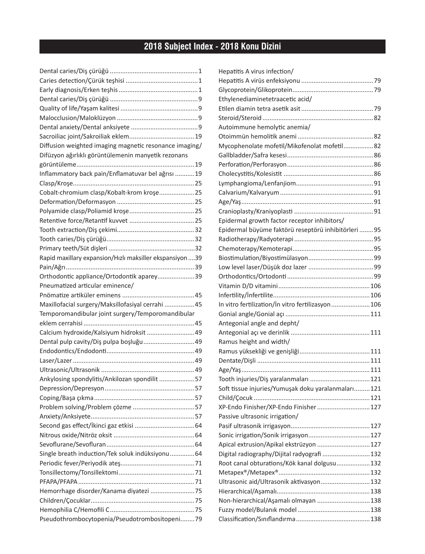## **2018 Subject Index - 2018 Konu Dizini**

| Diffusion weighted imaging magnetic resonance imaging/   |  |
|----------------------------------------------------------|--|
| Difüzyon ağırlıklı görüntülemenin manyetik rezonans      |  |
|                                                          |  |
| Inflammatory back pain/Enflamatuvar bel ağrısı  19       |  |
|                                                          |  |
| Cobalt-chromium clasp/Kobalt-krom krose25                |  |
|                                                          |  |
|                                                          |  |
|                                                          |  |
|                                                          |  |
|                                                          |  |
|                                                          |  |
| Rapid maxillary expansion/Hızlı maksiller ekspansiyon 39 |  |
|                                                          |  |
| Orthodontic appliance/Ortodontik aparey39                |  |
| Pneumatized articular eminence/                          |  |
|                                                          |  |
| Maxillofacial surgery/Maksillofasiyal cerrahi  45        |  |
| Temporomandibular joint surgery/Temporomandibular        |  |
|                                                          |  |
| Calcium hydroxide/Kalsiyum hidroksit  49                 |  |
| Dental pulp cavity/Diş pulpa boşluğu 49                  |  |
|                                                          |  |
|                                                          |  |
|                                                          |  |
| Ankylosing spondylitis/Ankilozan spondilit 57            |  |
|                                                          |  |
|                                                          |  |
|                                                          |  |
|                                                          |  |
|                                                          |  |
|                                                          |  |
|                                                          |  |
|                                                          |  |
| Single breath induction/Tek soluk indüksiyonu 64         |  |
|                                                          |  |
|                                                          |  |
|                                                          |  |
|                                                          |  |
|                                                          |  |
|                                                          |  |

| Hepatitis A virus infection/                        |  |
|-----------------------------------------------------|--|
|                                                     |  |
|                                                     |  |
| Ethylenediaminetetraacetic acid/                    |  |
|                                                     |  |
|                                                     |  |
| Autoimmune hemolytic anemia/                        |  |
|                                                     |  |
| Mycophenolate mofetil/Mikofenolat mofetil82         |  |
|                                                     |  |
|                                                     |  |
|                                                     |  |
|                                                     |  |
|                                                     |  |
|                                                     |  |
|                                                     |  |
| Epidermal growth factor receptor inhibitors/        |  |
| Epidermal büyüme faktörü reseptörü inhibitörleri 95 |  |
|                                                     |  |
|                                                     |  |
|                                                     |  |
|                                                     |  |
|                                                     |  |
|                                                     |  |
|                                                     |  |
| In vitro fertilization/In vitro fertilizasyon106    |  |
|                                                     |  |
| Antegonial angle and depht/                         |  |
|                                                     |  |
| Ramus height and width/                             |  |
|                                                     |  |
|                                                     |  |
|                                                     |  |
| Tooth injuries/Diş yaralanmaları  121               |  |
| Soft tissue injuries/Yumuşak doku yaralanmaları121  |  |
|                                                     |  |
| XP-Endo Finisher/XP-Endo Finisher  127              |  |
| Passive ultrasonic irrigation/                      |  |
|                                                     |  |
|                                                     |  |
| Apical extrusion/Apikal ekstrüzyon  127             |  |
| Digital radiography/Dijital radyografi  132         |  |
| Root canal obturations/Kök kanal dolgusu132         |  |
|                                                     |  |
| Ultrasonic aid/Ultrasonik aktivasyon 132            |  |
|                                                     |  |
| Non-hierarchical/Aşamalı olmayan  138               |  |
|                                                     |  |
|                                                     |  |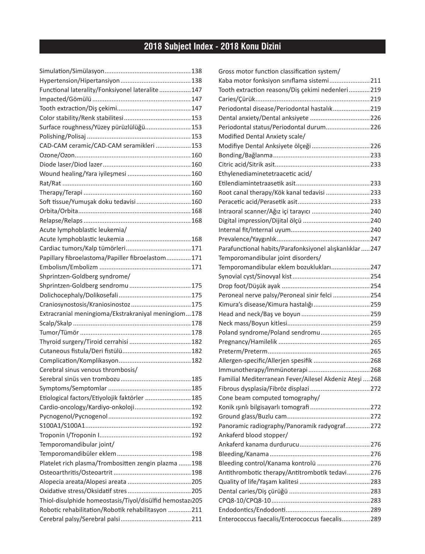## **2018 Subject Index - 2018 Konu Dizini**

| Functional laterality/Fonksiyonel lateralite 147         |     |
|----------------------------------------------------------|-----|
|                                                          |     |
|                                                          |     |
|                                                          |     |
| Surface roughness/Yüzey pürüzlülüğü 153                  |     |
|                                                          |     |
| CAD-CAM ceramic/CAD-CAM seramikleri  153                 |     |
|                                                          |     |
|                                                          |     |
|                                                          |     |
|                                                          |     |
|                                                          |     |
| Soft tissue/Yumuşak doku tedavisi 160                    |     |
|                                                          |     |
|                                                          |     |
| Acute lymphoblastic leukemia/                            |     |
|                                                          |     |
|                                                          |     |
| Papillary fibroelastoma/Papiller fibroelastom171         |     |
|                                                          |     |
| Shprintzen-Goldberg syndrome/                            |     |
|                                                          |     |
|                                                          |     |
| Craniosynostosis/Kraniosinostoz  175                     |     |
| Extracranial meningioma/Ekstrakraniyal meningiom178      |     |
|                                                          |     |
|                                                          |     |
|                                                          |     |
|                                                          |     |
|                                                          |     |
| Cerebral sinus venous thrombosis/                        |     |
| Serebral sinüs ven trombozu                              | 185 |
|                                                          |     |
| Etiological factors/Etiyolojik faktörler  185            |     |
| Cardio-oncology/Kardiyo-onkoloji 192                     |     |
|                                                          |     |
|                                                          |     |
|                                                          |     |
| Temporomandibular joint/                                 |     |
|                                                          |     |
| Platelet rich plasma/Trombositten zengin plazma 198      |     |
|                                                          |     |
|                                                          |     |
|                                                          |     |
| Thiol-disulphide homeostasis/Tiyol/disülfid hemostazı205 |     |
| Robotic rehabilitation/Robotik rehabilitasyon 211        |     |
|                                                          |     |

| Gross motor function classification system/              |  |
|----------------------------------------------------------|--|
| Kaba motor fonksiyon sınıflama sistemi211                |  |
| Tooth extraction reasons/Diş çekimi nedenleri219         |  |
|                                                          |  |
| Periodontal disease/Periodontal hastalık219              |  |
|                                                          |  |
| Periodontal status/Periodontal durum226                  |  |
| Modified Dental Anxiety scale/                           |  |
| Modifiye Dental Anksiyete ölçeği 226                     |  |
|                                                          |  |
|                                                          |  |
| Ethylenediaminetetraacetic acid/                         |  |
|                                                          |  |
| Root canal therapy/Kök kanal tedavisi 233                |  |
|                                                          |  |
|                                                          |  |
|                                                          |  |
|                                                          |  |
|                                                          |  |
| Parafunctional habits/Parafonksiyonel alışkanlıklar  247 |  |
| Temporomandibular joint disorders/                       |  |
| Temporomandibular eklem bozuklukları 247                 |  |
|                                                          |  |
|                                                          |  |
| Peroneal nerve palsy/Peroneal sinir felci 254            |  |
| Kimura's disease/Kimura hastalığı 259                    |  |
|                                                          |  |
|                                                          |  |
| Poland syndrome/Poland sendromu265                       |  |
|                                                          |  |
|                                                          |  |
| Allergen-specific/Allerjen spesifik  268                 |  |
|                                                          |  |
| Familial Mediterranean Fever/Ailesel Akdeniz Ateşi  268  |  |
|                                                          |  |
| Cone beam computed tomography/                           |  |
|                                                          |  |
|                                                          |  |
| Panoramic radiography/Panoramik radyograf 272            |  |
| Ankaferd blood stopper/                                  |  |
|                                                          |  |
|                                                          |  |
| Bleeding control/Kanama kontrolü 276                     |  |
| Antithrombotic therapy/Antitrombotik tedavi276           |  |
|                                                          |  |
|                                                          |  |
|                                                          |  |
|                                                          |  |
| Enterococcus faecalis/Enterococcus faecalis289           |  |